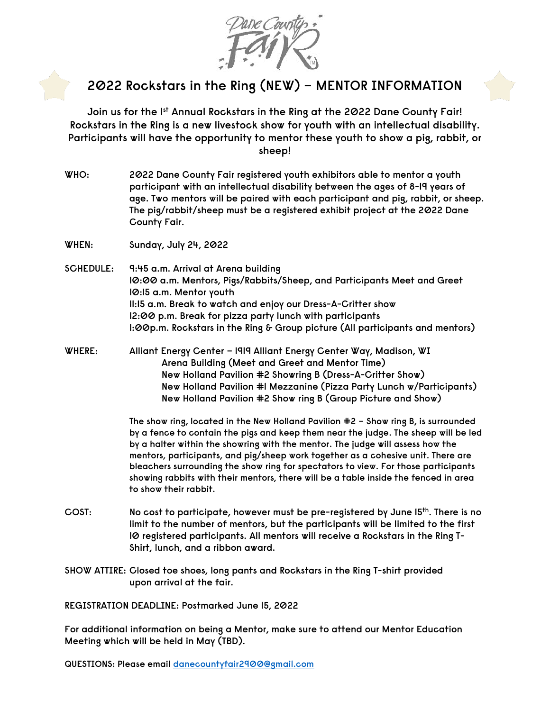

## **2022 Rockstars in the Ring (NEW) – MENTOR INFORMATION**

**Join us for the 1st Annual Rockstars in the Ring at the 2022 Dane County Fair! Rockstars in the Ring is a new livestock show for youth with an intellectual disability. Participants will have the opportunity to mentor these youth to show a pig, rabbit, or sheep!**

- **WHO: 2022 Dane County Fair registered youth exhibitors able to mentor a youth participant with an intellectual disability between the ages of 8-19 years of age. Two mentors will be paired with each participant and pig, rabbit, or sheep. The pig/rabbit/sheep must be a registered exhibit project at the 2022 Dane County Fair.**
- **WHEN: Sunday, July 24, 2022**
- **SCHEDULE: 9:45 a.m. Arrival at Arena building 10:00 a.m. Mentors, Pigs/Rabbits/Sheep, and Participants Meet and Greet 10:15 a.m. Mentor youth 11:15 a.m. Break to watch and enjoy our Dress-A-Critter show 12:00 p.m. Break for pizza party lunch with participants 1:00p.m. Rockstars in the Ring & Group picture (All participants and mentors)**
- **WHERE: Alliant Energy Center – 1919 Alliant Energy Center Way, Madison, WI Arena Building (Meet and Greet and Mentor Time) New Holland Pavilion #2 Showring B (Dress-A-Critter Show) New Holland Pavilion #1 Mezzanine (Pizza Party Lunch w/Participants) New Holland Pavilion #2 Show ring B (Group Picture and Show)**

**The show ring, located in the New Holland Pavilion #2 – Show ring B, is surrounded by a fence to contain the pigs and keep them near the judge. The sheep will be led by a halter within the showring with the mentor. The judge will assess how the mentors, participants, and pig/sheep work together as a cohesive unit. There are bleachers surrounding the show ring for spectators to view. For those participants showing rabbits with their mentors, there will be a table inside the fenced in area to show their rabbit.**

- **COST: No cost to participate, however must be pre-registered by June 15th. There is no limit to the number of mentors, but the participants will be limited to the first 10 registered participants. All mentors will receive a Rockstars in the Ring T-Shirt, lunch, and a ribbon award.**
- **SHOW ATTIRE: Closed toe shoes, long pants and Rockstars in the Ring T-shirt provided upon arrival at the fair.**

**REGISTRATION DEADLINE: Postmarked June 15, 2022**

**For additional information on being a Mentor, make sure to attend our Mentor Education Meeting which will be held in May (TBD).**

**QUESTIONS: Please email [danecountyfair2900@gmail.com](mailto:danecountyfair2900@gmail.com)**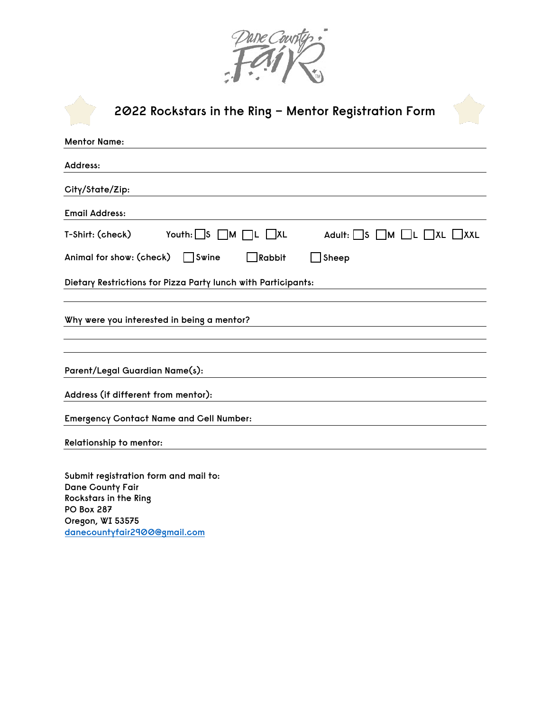

| 2022 Rockstars in the Ring – Mentor Registration Form                                                                     |
|---------------------------------------------------------------------------------------------------------------------------|
| <b>Mentor Name:</b>                                                                                                       |
| Address:                                                                                                                  |
| City/State/Zip:                                                                                                           |
| <b>Email Address:</b>                                                                                                     |
| Youth: $\Box$ S $\Box$ M $\Box$ L $\Box$ XL<br>Adult: $\Box$ S $\Box$ M $\Box$ L $\Box$ XL $\Box$ XXL<br>T-Shirt: (check) |
| Animal for show: (check)<br>Swine<br>$\Box$ Rabbit<br>$\Box$ Sheep                                                        |
| Dietary Restrictions for Pizza Party lunch with Participants:                                                             |
| Why were you interested in being a mentor?                                                                                |
|                                                                                                                           |
| Parent/Legal Guardian Name(s):                                                                                            |
| Address (if different from mentor):                                                                                       |
| <b>Emergency Contact Name and Cell Number:</b>                                                                            |
| <b>Relationship to mentor:</b>                                                                                            |
| Submit registration form and mail to:<br>Dane County Fair<br><b>Rockstars in the Ring</b>                                 |

**PO Box 287 [Oregon, WI 53575](mailto:danecountyfair2900@gmail.com)  danecountyfair2900@gmail.com**